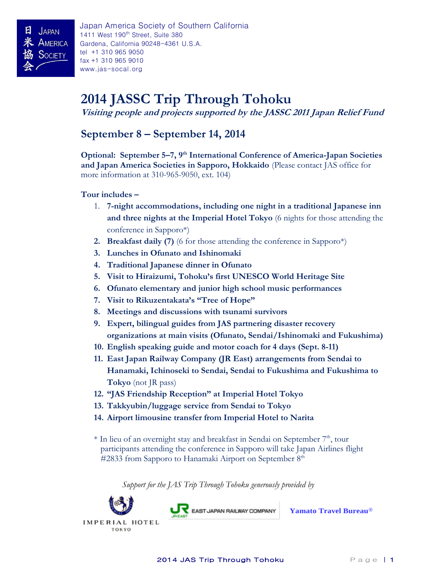# **2014 JASSC Trip Through Tohoku**

**Visiting people and projects supported by the JASSC 2011 Japan Relief Fund**

### **September 8 – September 14, 2014**

**Optional: September 5–7, 9th International Conference of America-Japan Societies and Japan America Societies in Sapporo, Hokkaido** (Please contact JAS office for more information at 310-965-9050, ext. 104)

#### **Tour includes –**

- 1. **7-night accommodations, including one night in a traditional Japanese inn and three nights at the Imperial Hotel Tokyo** (6 nights for those attending the conference in Sapporo\*)
- **2. Breakfast daily (7)** (6 for those attending the conference in Sapporo\*)
- **3. Lunches in Ofunato and Ishinomaki**
- **4. Traditional Japanese dinner in Ofunato**
- **5. Visit to Hiraizumi, Tohoku's first UNESCO World Heritage Site**
- **6. Ofunato elementary and junior high school music performances**
- **7. Visit to Rikuzentakata's "Tree of Hope"**
- **8. Meetings and discussions with tsunami survivors**
- **9. Expert, bilingual guides from JAS partnering disaster recovery organizations at main visits (Ofunato, Sendai/Ishinomaki and Fukushima)**
- **10. English speaking guide and motor coach for 4 days (Sept. 8-11)**
- **11. East Japan Railway Company (JR East) arrangements from Sendai to Hanamaki, Ichinoseki to Sendai, Sendai to Fukushima and Fukushima to Tokyo** (not JR pass)
- **12. "JAS Friendship Reception" at Imperial Hotel Tokyo**
- **13. Takkyubin/luggage service from Sendai to Tokyo**
- **14. Airport limousine transfer from Imperial Hotel to Narita**
- $*$  In lieu of an overnight stay and breakfast in Sendai on September  $7<sup>th</sup>$ , tour participants attending the conference in Sapporo will take Japan Airlines flight  $\#2833$  from Sapporo to Hanamaki Airport on September  $8<sup>th</sup>$

 *Support for the JAS Trip Through Tohoku generously provided by*



EAST JAPAN RAILWAY COMPANY

**[Yamato Travel Bureau](http://www.yamatotravel.com/)**®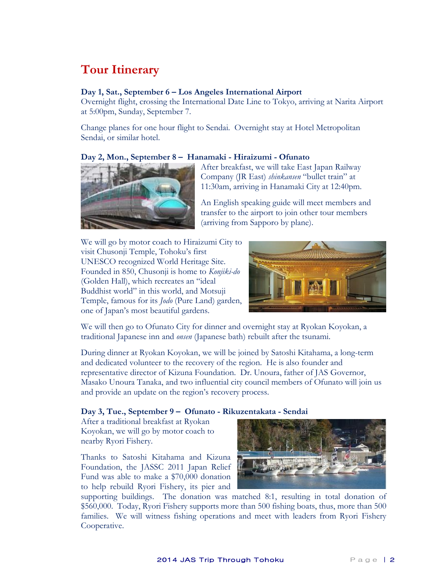# **Tour Itinerary**

#### **Day 1, Sat., September 6 – Los Angeles International Airport**

Overnight flight, crossing the International Date Line to Tokyo, arriving at Narita Airport at 5:00pm, Sunday, September 7.

Change planes for one hour flight to Sendai. Overnight stay at Hotel Metropolitan Sendai, or similar hotel.

#### **Day 2, Mon., September 8 – Hanamaki - Hiraizumi - Ofunato**



After breakfast, we will take East Japan Railway Company (JR East) *shinkansen* "bullet train" at 11:30am, arriving in Hanamaki City at 12:40pm.

An English speaking guide will meet members and transfer to the airport to join other tour members (arriving from Sapporo by plane).

We will go by motor coach to Hiraizumi City to visit Chusonji Temple, Tohoku's first UNESCO recognized World Heritage Site. Founded in 850, Chusonji is home to *Konjiki-do* (Golden Hall), which recreates an "ideal Buddhist world" in this world, and Motsuji Temple, famous for its *Jodo* (Pure Land) garden, one of Japan's most beautiful gardens.



We will then go to Ofunato City for dinner and overnight stay at Ryokan Koyokan, a traditional Japanese inn and *onsen* (Japanese bath) rebuilt after the tsunami.

During dinner at Ryokan Koyokan, we will be joined by Satoshi Kitahama, a long-term and dedicated volunteer to the recovery of the region. He is also founder and representative director of Kizuna Foundation. Dr. Unoura, father of JAS Governor, Masako Unoura Tanaka, and two influential city council members of Ofunato will join us and provide an update on the region's recovery process.

#### **Day 3, Tue., September 9 – Ofunato - Rikuzentakata - Sendai**

After a traditional breakfast at Ryokan Koyokan, we will go by motor coach to nearby Ryori Fishery.

Thanks to Satoshi Kitahama and Kizuna Foundation, the JASSC 2011 Japan Relief Fund was able to make a \$70,000 donation to help rebuild Ryori Fishery, its pier and



supporting buildings. The donation was matched 8:1, resulting in total donation of \$560,000. Today, Ryori Fishery supports more than 500 fishing boats, thus, more than 500 families. We will witness fishing operations and meet with leaders from Ryori Fishery Cooperative.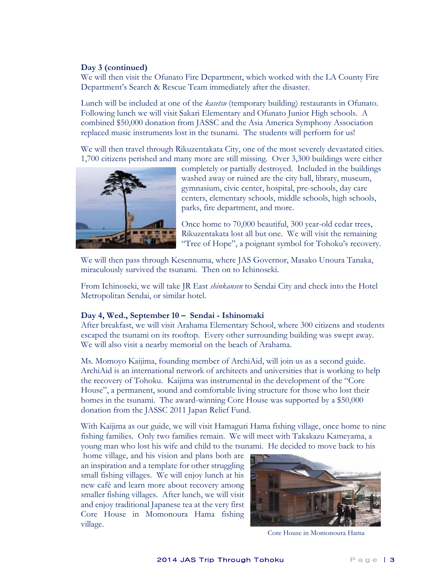#### **Day 3 (continued)**

We will then visit the Ofunato Fire Department, which worked with the LA County Fire Department's Search & Rescue Team immediately after the disaster.

Lunch will be included at one of the *kasetsu* (temporary building) restaurants in Ofunato. Following lunch we will visit Sakari Elementary and Ofunato Junior High schools. A combined \$50,000 donation from JASSC and the Asia America Symphony Association replaced music instruments lost in the tsunami. The students will perform for us!

We will then travel through Rikuzentakata City, one of the most severely devastated cities. 1,700 citizens perished and many more are still missing. Over 3,300 buildings were either



completely or partially destroyed. Included in the buildings washed away or ruined are the city hall, library, museum, gymnasium, civic center, hospital, pre-schools, day care centers, elementary schools, middle schools, high schools, parks, fire department, and more.

Once home to 70,000 beautiful, 300 year-old cedar trees, Rikuzentakata lost all but one. We will visit the remaining "Tree of Hope", a poignant symbol for Tohoku's recovery.

We will then pass through Kesennuma, where JAS Governor, Masako Unoura Tanaka, miraculously survived the tsunami. Then on to Ichinoseki.

From Ichinoseki, we will take JR East *shinkansen* to Sendai City and check into the Hotel Metropolitan Sendai, or similar hotel.

#### **Day 4, Wed., September 10 – Sendai - Ishinomaki**

After breakfast, we will visit Arahama Elementary School, where 300 citizens and students escaped the tsunami on its rooftop. Every other surrounding building was swept away. We will also visit a nearby memorial on the beach of Arahama.

Ms. Momoyo Kaijima, founding member of ArchiAid, will join us as a second guide. ArchiAid is an international network of architects and universities that is working to help the recovery of Tohoku. Kaijima was instrumental in the development of the "Core House", a permanent, sound and comfortable living structure for those who lost their homes in the tsunami. The award-winning Core House was supported by a \$50,000 donation from the JASSC 2011 Japan Relief Fund.

With Kaijima as our guide, we will visit Hamaguri Hama fishing village, once home to nine fishing families. Only two families remain. We will meet with Takakazu Kameyama, a young man who lost his wife and child to the tsunami. He decided to move back to his

home village, and his vision and plans both are an inspiration and a template for other struggling small fishing villages. We will enjoy lunch at his new café and learn more about recovery among smaller fishing villages. After lunch, we will visit and enjoy traditional Japanese tea at the very first Core House in Momonoura Hama fishing village.



Core House in Momonoura Hama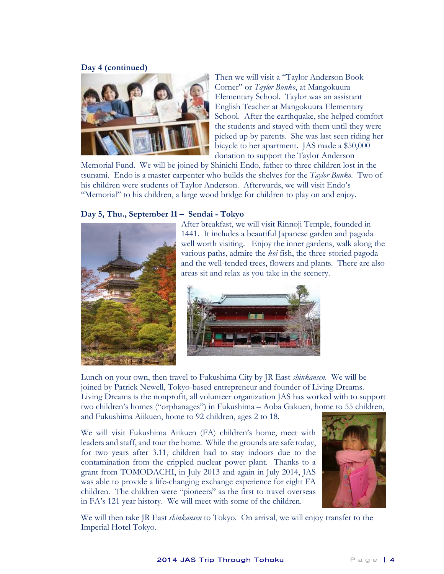#### **Day 4 (continued)**



Then we will visit a "Taylor Anderson Book Corner" or *Taylor Bunko*, at Mangokuura Elementary School. Taylor was an assistant English Teacher at Mangokuura Elementary School. After the earthquake, she helped comfort the students and stayed with them until they were picked up by parents. She was last seen riding her bicycle to her apartment. JAS made a \$50,000 donation to support the Taylor Anderson

Memorial Fund. We will be joined by Shinichi Endo, father to three children lost in the tsunami. Endo is a master carpenter who builds the shelves for the *Taylor Bunko*. Two of his children were students of Taylor Anderson. Afterwards, we will visit Endo's "Memorial" to his children, a large wood bridge for children to play on and enjoy.

#### **Day 5, Thu., September 11 – Sendai - Tokyo**



After breakfast, we will visit Rinnoji Temple, founded in 1441. It includes a beautiful Japanese garden and pagoda well worth visiting. Enjoy the inner gardens, walk along the various paths, admire the *koi* fish, the three-storied pagoda and the well-tended trees, flowers and plants. There are also areas sit and relax as you take in the scenery.



Lunch on your own, then travel to Fukushima City by JR East *shinkansen.* We will be joined by Patrick Newell, Tokyo-based entrepreneur and founder of Living Dreams. Living Dreams is the nonprofit, all volunteer organization JAS has worked with to support two children's homes ("orphanages") in Fukushima – Aoba Gakuen, home to 55 children, and Fukushima Aiikuen, home to 92 children, ages 2 to 18.

We will visit Fukushima Aiikuen (FA) children's home, meet with leaders and staff, and tour the home. While the grounds are safe today, for two years after 3.11, children had to stay indoors due to the contamination from the crippled nuclear power plant. Thanks to a grant from TOMODACHI, in July 2013 and again in July 2014, JAS was able to provide a life-changing exchange experience for eight FA children. The children were "pioneers" as the first to travel overseas in FA's 121 year history. We will meet with some of the children.



We will then take JR East *shinkansen* to Tokyo. On arrival, we will enjoy transfer to the Imperial Hotel Tokyo.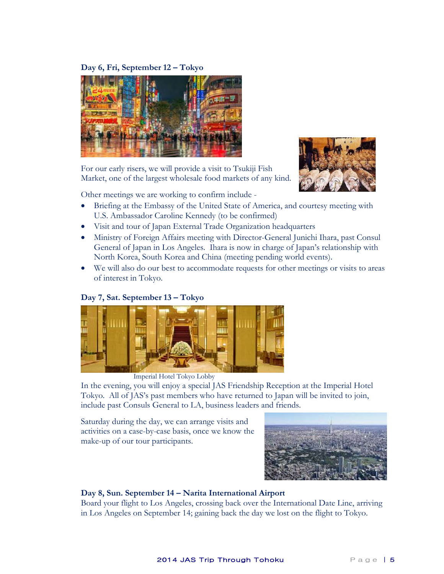#### **Day 6, Fri, September 12 – Tokyo**



For our early risers, we will provide a visit to Tsukiji Fish Market, one of the largest wholesale food markets of any kind.



Other meetings we are working to confirm include -

- Briefing at the Embassy of the United State of America, and courtesy meeting with U.S. Ambassador Caroline Kennedy (to be confirmed)
- Visit and tour of Japan External Trade Organization headquarters
- Ministry of Foreign Affairs meeting with Director-General Junichi Ihara, past Consul General of Japan in Los Angeles. Ihara is now in charge of Japan's relationship with North Korea, South Korea and China (meeting pending world events).
- We will also do our best to accommodate requests for other meetings or visits to areas of interest in Tokyo.

#### **Day 7, Sat. September 13 – Tokyo**



Imperial Hotel Tokyo Lobby

In the evening, you will enjoy a special JAS Friendship Reception at the Imperial Hotel Tokyo. All of JAS's past members who have returned to Japan will be invited to join, include past Consuls General to LA, business leaders and friends.

Saturday during the day, we can arrange visits and activities on a case-by-case basis, once we know the make-up of our tour participants.



#### **Day 8, Sun. September 14 – Narita International Airport**

Board your flight to Los Angeles, crossing back over the International Date Line, arriving in Los Angeles on September 14; gaining back the day we lost on the flight to Tokyo.

#### 2014 JAS Trip Through Tohoku Page | 5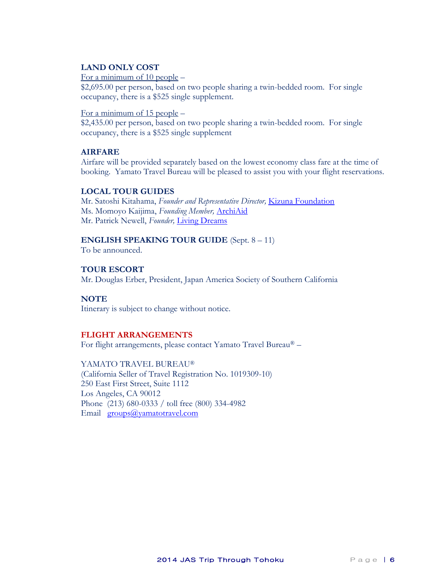#### **LAND ONLY COST**

For a minimum of 10 people –

\$2,695.00 per person, based on two people sharing a twin-bedded room. For single occupancy, there is a \$525 single supplement.

#### For a minimum of 15 people –

\$2,435.00 per person, based on two people sharing a twin-bedded room. For single occupancy, there is a \$525 single supplement

#### **AIRFARE**

Airfare will be provided separately based on the lowest economy class fare at the time of booking. Yamato Travel Bureau will be pleased to assist you with your flight reservations.

#### **LOCAL TOUR GUIDES**

Mr. Satoshi Kitahama, *Founder and Representative Director,* [Kizuna Foundation](http://kizunafoundation.org/) Ms. Momoyo Kaijima, *Founding Member,* [ArchiAid](http://archiaid.org/english/) Mr. Patrick Newell, *Founder,* [Living Dreams](http://www.livingdreams.jp/main/)

#### **ENGLISH SPEAKING TOUR GUIDE** (Sept. 8 – 11)

To be announced.

#### **TOUR ESCORT**

Mr. Douglas Erber, President, Japan America Society of Southern California

#### **NOTE**

Itinerary is subject to change without notice.

#### **FLIGHT ARRANGEMENTS**

For flight arrangements, please contact Yamato Travel Bureau® –

YAMATO TRAVEL BUREAU® (California Seller of Travel Registration No. 1019309-10) 250 East First Street, Suite 1112 Los Angeles, CA 90012 Phone (213) 680-0333 / toll free (800) 334-4982 Email **groups**@yamatotravel.com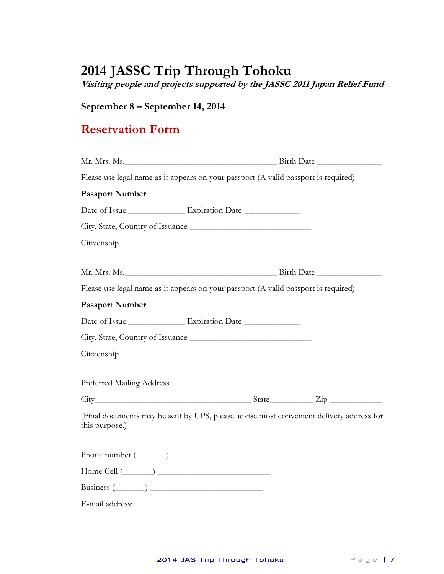# **2014 JASSC Trip Through Tohoku**

**Visiting people and projects supported by the JASSC 2011 Japan Relief Fund**

### **September 8 – September 14, 2014**

## **Reservation Form**

|                | Please use legal name as it appears on your passport (A valid passport is required)                                                                                                                                            |                                                                                         |
|----------------|--------------------------------------------------------------------------------------------------------------------------------------------------------------------------------------------------------------------------------|-----------------------------------------------------------------------------------------|
|                |                                                                                                                                                                                                                                |                                                                                         |
|                |                                                                                                                                                                                                                                |                                                                                         |
|                |                                                                                                                                                                                                                                |                                                                                         |
| Citizenship    |                                                                                                                                                                                                                                |                                                                                         |
|                | Mr. Mrs. Ms. 2008. The Birth Date 2008. The Birth Date 2008. The Birth Date 2008. The Birth Date 2008. The Birth Date 2008. The Birth Date 2008. The Birth Date 2008. The Birth Date 2008. The Birth Date 2008. The Birth Date |                                                                                         |
|                | Please use legal name as it appears on your passport (A valid passport is required)                                                                                                                                            |                                                                                         |
|                |                                                                                                                                                                                                                                |                                                                                         |
|                | Date of Issue ______________________ Expiration Date ___________________________                                                                                                                                               |                                                                                         |
|                |                                                                                                                                                                                                                                |                                                                                         |
| Citizenship    |                                                                                                                                                                                                                                |                                                                                         |
|                |                                                                                                                                                                                                                                |                                                                                         |
|                |                                                                                                                                                                                                                                | $City$ $City$ $Step$ $Line$                                                             |
| this purpose.) |                                                                                                                                                                                                                                | (Final documents may be sent by UPS, please advise most convenient delivery address for |
|                | Phone number $(\_\_)$                                                                                                                                                                                                          |                                                                                         |
|                | $Home$ Cell $(\_\_\_\_)$                                                                                                                                                                                                       |                                                                                         |
|                | $Business (\_\_)$                                                                                                                                                                                                              |                                                                                         |
|                |                                                                                                                                                                                                                                |                                                                                         |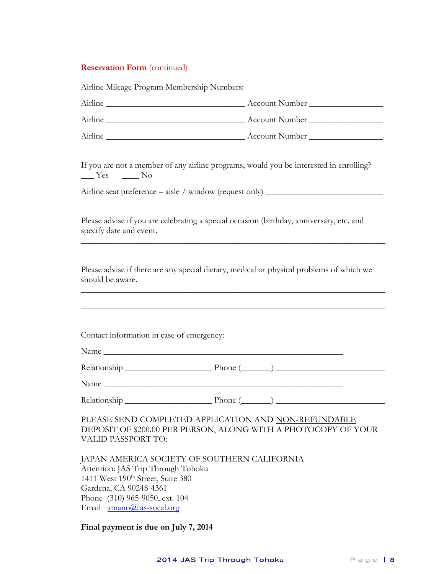#### **Reservation Form** (continued)

| Airline Mileage Program Membership Numbers:                                                                                                                                                                                    |                |
|--------------------------------------------------------------------------------------------------------------------------------------------------------------------------------------------------------------------------------|----------------|
|                                                                                                                                                                                                                                |                |
|                                                                                                                                                                                                                                |                |
|                                                                                                                                                                                                                                |                |
| If you are not a member of any airline programs, would you be interested in enrolling?<br>$\frac{Y_{\text{cs}}}{Y_{\text{cs}}}$ No                                                                                             |                |
| Airline seat preference – aisle / window (request only) _________________________                                                                                                                                              |                |
| Please advise if you are celebrating a special occasion (birthday, anniversary, etc. and<br>specify date and event.                                                                                                            |                |
| Please advise if there are any special dietary, medical or physical problems of which we<br>should be aware.                                                                                                                   |                |
| Contact information in case of emergency:                                                                                                                                                                                      |                |
| Relationship Phone (Called and Phone (Called and Phone (Called and Phone (Called and Phone Called and Phone Called and Phone Called and Phone Called and Phone Called and Phone Called and Phone Called and Phone Called and P |                |
| Name                                                                                                                                                                                                                           |                |
| Relationship                                                                                                                                                                                                                   | Phone $(\_\_)$ |
| PLEASE SEND COMPLETED APPLICATION AND NON-REFUNDABLE<br>DEPOSIT OF \$200.00 PER PERSON, ALONG WITH A PHOTOCOPY OF YOUR<br>VALID PASSPORT TO:                                                                                   |                |
| JAPAN AMERICA SOCIETY OF SOUTHERN CALIFORNIA<br>Attention: JAS Trip Through Tohoku<br>1411 West 190 <sup>th</sup> Street, Suite 380<br>Gardena, CA 90248-4361<br>Phone (310) 965-9050, ext. 104<br>Email amano@jas-socal.org   |                |

### **Final payment is due on July 7, 2014**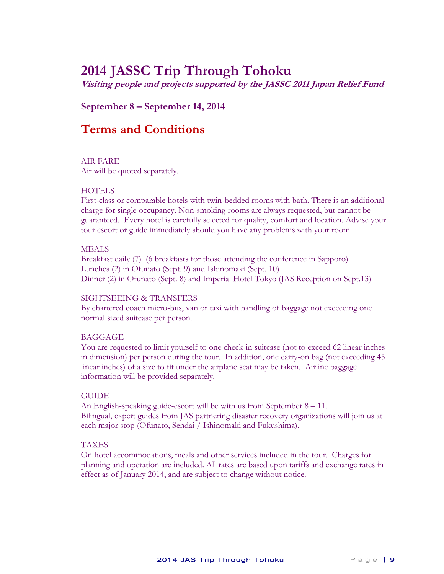# **2014 JASSC Trip Through Tohoku**

**Visiting people and projects supported by the JASSC 2011 Japan Relief Fund**

### **September 8 – September 14, 2014**

## **Terms and Conditions**

#### AIR FARE

Air will be quoted separately.

#### **HOTELS**

First-class or comparable hotels with twin-bedded rooms with bath. There is an additional charge for single occupancy. Non-smoking rooms are always requested, but cannot be guaranteed. Every hotel is carefully selected for quality, comfort and location. Advise your tour escort or guide immediately should you have any problems with your room.

#### MEALS

Breakfast daily (7) (6 breakfasts for those attending the conference in Sapporo) Lunches (2) in Ofunato (Sept. 9) and Ishinomaki (Sept. 10) Dinner (2) in Ofunato (Sept. 8) and Imperial Hotel Tokyo (JAS Reception on Sept.13)

#### SIGHTSEEING & TRANSFERS

By chartered coach micro-bus, van or taxi with handling of baggage not exceeding one normal sized suitcase per person.

#### BAGGAGE

You are requested to limit yourself to one check-in suitcase (not to exceed 62 linear inches in dimension) per person during the tour. In addition, one carry-on bag (not exceeding 45 linear inches) of a size to fit under the airplane seat may be taken. Airline baggage information will be provided separately.

#### GUIDE

An English-speaking guide-escort will be with us from September 8 – 11. Bilingual, expert guides from JAS partnering disaster recovery organizations will join us at each major stop (Ofunato, Sendai / Ishinomaki and Fukushima).

#### TAXES

On hotel accommodations, meals and other services included in the tour. Charges for planning and operation are included. All rates are based upon tariffs and exchange rates in effect as of January 2014, and are subject to change without notice.